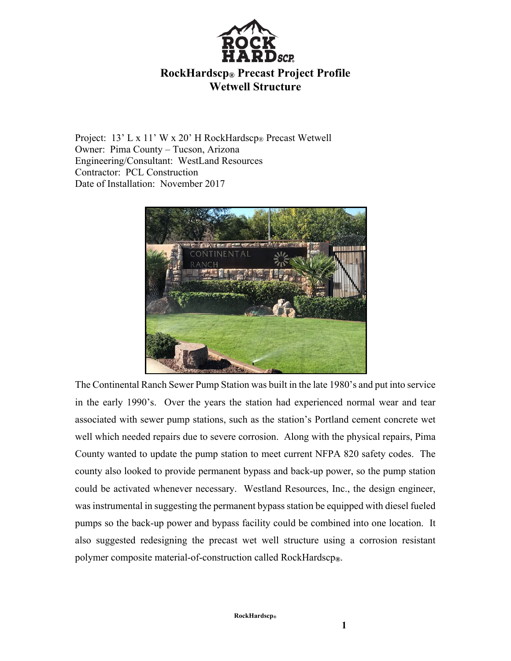

## **RockHardscp® Precast Project Profile Wetwell Structure**

Project: 13' L x 11' W x 20' H RockHardscp® Precast Wetwell Owner: Pima County – Tucson, Arizona Engineering/Consultant: WestLand Resources Contractor: PCL Construction Date of Installation: November 2017



The Continental Ranch Sewer Pump Station was built in the late 1980's and put into service in the early 1990's. Over the years the station had experienced normal wear and tear associated with sewer pump stations, such as the station's Portland cement concrete wet well which needed repairs due to severe corrosion. Along with the physical repairs, Pima County wanted to update the pump station to meet current NFPA 820 safety codes. The county also looked to provide permanent bypass and back-up power, so the pump station could be activated whenever necessary. Westland Resources, Inc., the design engineer, was instrumental in suggesting the permanent bypass station be equipped with diesel fueled pumps so the back-up power and bypass facility could be combined into one location. It also suggested redesigning the precast wet well structure using a corrosion resistant polymer composite material-of-construction called RockHardscp**®**.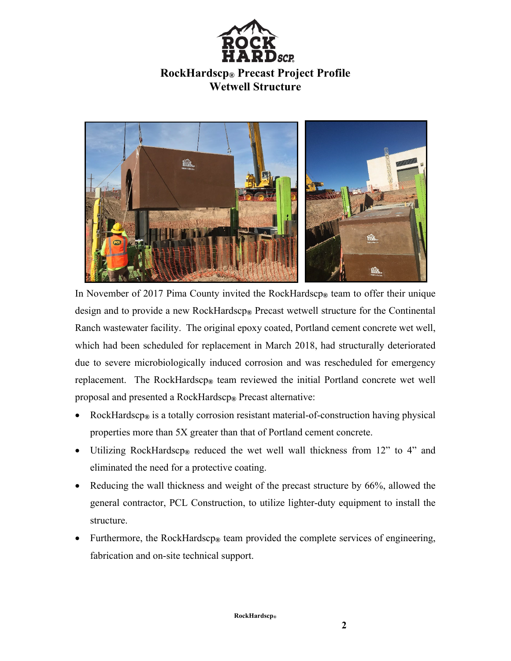

## **RockHardscp® Precast Project Profile Wetwell Structure**



In November of 2017 Pima County invited the RockHardscp**®** team to offer their unique design and to provide a new RockHardscp**®** Precast wetwell structure for the Continental Ranch wastewater facility. The original epoxy coated, Portland cement concrete wet well, which had been scheduled for replacement in March 2018, had structurally deteriorated due to severe microbiologically induced corrosion and was rescheduled for emergency replacement. The RockHardscp**®** team reviewed the initial Portland concrete wet well proposal and presented a RockHardscp**®** Precast alternative:

- RockHardscp**®** is a totally corrosion resistant material-of-construction having physical properties more than 5X greater than that of Portland cement concrete.
- Utilizing RockHardscp**®** reduced the wet well wall thickness from 12" to 4" and eliminated the need for a protective coating.
- Reducing the wall thickness and weight of the precast structure by 66%, allowed the general contractor, PCL Construction, to utilize lighter-duty equipment to install the structure.
- Furthermore, the RockHardscp**®** team provided the complete services of engineering, fabrication and on-site technical support.